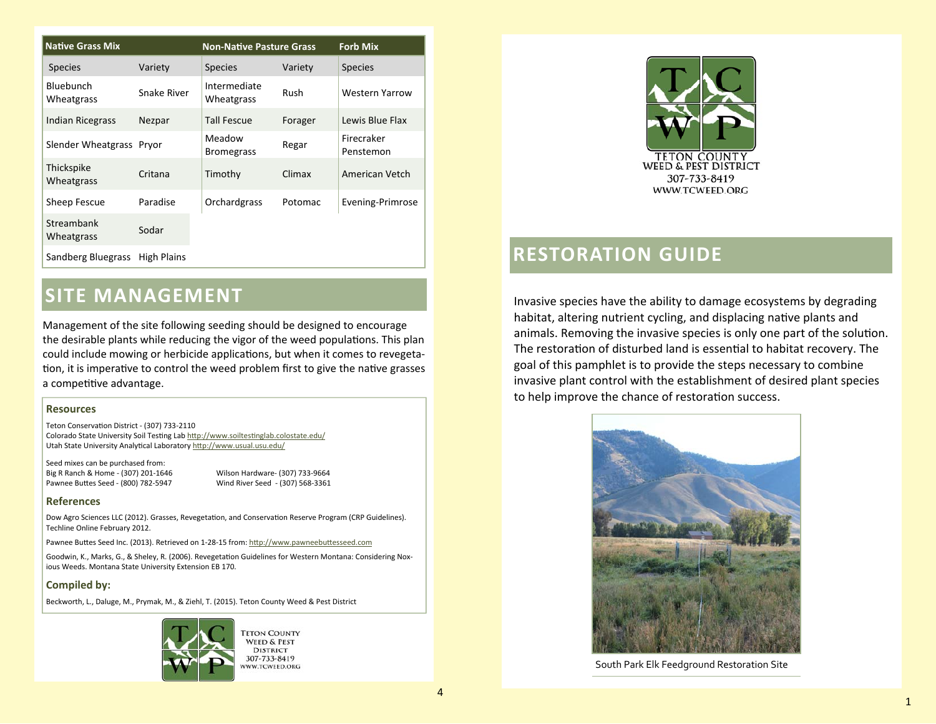| <b>Native Grass Mix</b>         |             | <b>Non-Native Pasture Grass</b> |         | <b>Forb Mix</b>         |
|---------------------------------|-------------|---------------------------------|---------|-------------------------|
| <b>Species</b>                  | Variety     | <b>Species</b>                  | Variety | <b>Species</b>          |
| Bluebunch<br>Wheatgrass         | Snake River | Intermediate<br>Wheatgrass      | Rush    | <b>Western Yarrow</b>   |
| <b>Indian Ricegrass</b>         | Nezpar      | <b>Tall Fescue</b>              | Forager | Lewis Blue Flax         |
| Slender Wheatgrass Pryor        |             | Meadow<br><b>Bromegrass</b>     | Regar   | Firecraker<br>Penstemon |
| <b>Thickspike</b><br>Wheatgrass | Critana     | Timothy                         | Climax  | American Vetch          |
| Sheep Fescue                    | Paradise    | Orchardgrass                    | Potomac | Evening-Primrose        |
| Streambank<br><b>Wheatgrass</b> | Sodar       |                                 |         |                         |
| Sandberg Bluegrass              | High Plains |                                 |         |                         |

## **SITE MANAGEMENT**

Management of the site following seeding should be designed to encourage the desirable plants while reducing the vigor of the weed populations. This plan could include mowing or herbicide applications, but when it comes to revegetation, it is imperative to control the weed problem first to give the native grasses a competitive advantage.

#### **Resources**

Teton ConservaƟon District - (307) 733-2110 Colorado State University Soil Testing Lab http://www.soiltestinglab.colostate.edu/ Utah State University Analytical Laboratory http://www.usual.usu.edu/

Seed mixes can be purchased from: Big R Ranch & Home - (307) 201-1646 Wilson Hardware- (307) 733-9664 Pawnee BuƩes Seed

Wind River Seed - (307) 568-3361

#### **References**

Dow Agro Sciences LLC (2012). Grasses, Revegetation, and Conservation Reserve Program (CRP Guidelines). Techline Online February 2012.

Pawnee Buttes Seed Inc. (2013). Retrieved on 1-28-15 from: http://www.pawneebuttesseed.com

Goodwin, K., Marks, G., & Sheley, R. (2006). Revegetation Guidelines for Western Montana: Considering Noxious Weeds. Montana State University Extension EB 170.

#### **Compiled by:**

Beckworth, L., Daluge, M., Prymak, M., & Ziehl, T. (2015). Teton County Weed & Pest District



**TETON COUNTY WEED & PEST DISTRICT** 307-733-8419 WW.TCWEED.ORG



### **RESTORATION GUIDE**

Invasive species have the ability to damage ecosystems by degrading habitat, altering nutrient cycling, and displacing native plants and animals. Removing the invasive species is only one part of the solution. The restoration of disturbed land is essential to habitat recovery. The goal of this pamphlet is to provide the steps necessary to combine invasive plant control with the establishment of desired plant species to help improve the chance of restoration success.



South Park Elk Feedground Restoration Site